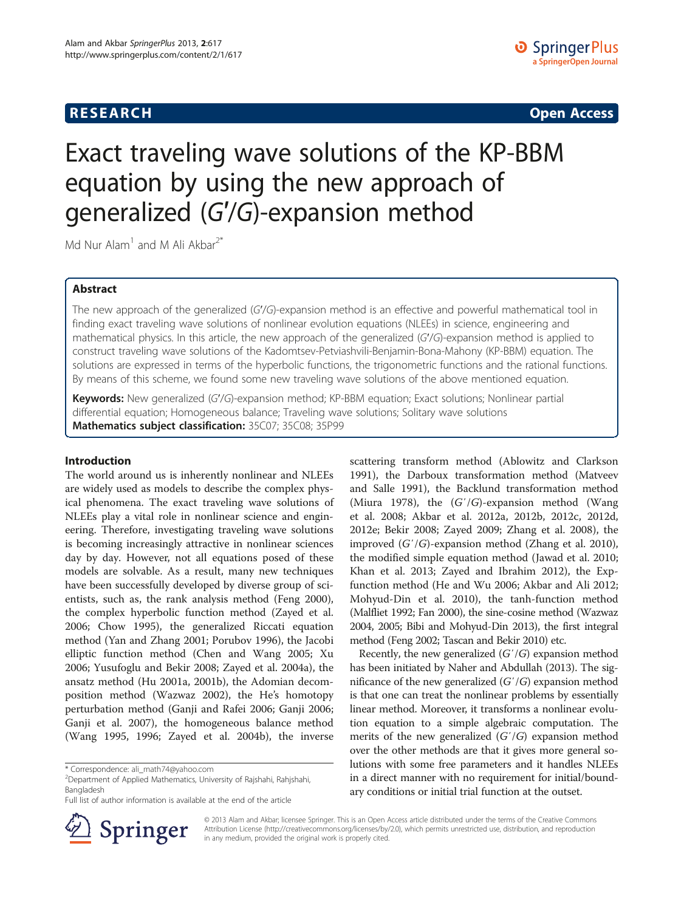# **RESEARCH RESEARCH CONSUMING ACCESS**

# Exact traveling wave solutions of the KP-BBM equation by using the new approach of generalized (G′/G)-expansion method

Md Nur Alam<sup>1</sup> and M Ali Akbar<sup>2\*</sup>

# Abstract

The new approach of the generalized (G′/G)-expansion method is an effective and powerful mathematical tool in finding exact traveling wave solutions of nonlinear evolution equations (NLEEs) in science, engineering and mathematical physics. In this article, the new approach of the generalized (G′/G)-expansion method is applied to construct traveling wave solutions of the Kadomtsev-Petviashvili-Benjamin-Bona-Mahony (KP-BBM) equation. The solutions are expressed in terms of the hyperbolic functions, the trigonometric functions and the rational functions. By means of this scheme, we found some new traveling wave solutions of the above mentioned equation.

Keywords: New generalized (G'/G)-expansion method; KP-BBM equation; Exact solutions; Nonlinear partial differential equation; Homogeneous balance; Traveling wave solutions; Solitary wave solutions Mathematics subject classification: 35C07; 35C08; 35P99

# Introduction

The world around us is inherently nonlinear and NLEEs are widely used as models to describe the complex physical phenomena. The exact traveling wave solutions of NLEEs play a vital role in nonlinear science and engineering. Therefore, investigating traveling wave solutions is becoming increasingly attractive in nonlinear sciences day by day. However, not all equations posed of these models are solvable. As a result, many new techniques have been successfully developed by diverse group of scientists, such as, the rank analysis method (Feng [2000](#page-6-0)), the complex hyperbolic function method (Zayed et al. [2006](#page-6-0); Chow [1995\)](#page-6-0), the generalized Riccati equation method (Yan and Zhang [2001;](#page-6-0) Porubov [1996\)](#page-6-0), the Jacobi elliptic function method (Chen and Wang [2005](#page-6-0); Xu [2006](#page-6-0); Yusufoglu and Bekir [2008;](#page-6-0) Zayed et al. [2004a](#page-6-0)), the ansatz method (Hu [2001a](#page-6-0), [2001b\)](#page-6-0), the Adomian decomposition method (Wazwaz [2002\)](#page-6-0), the He's homotopy perturbation method (Ganji and Rafei [2006](#page-6-0); Ganji [2006](#page-6-0); Ganji et al. [2007\)](#page-6-0), the homogeneous balance method (Wang [1995](#page-6-0), [1996](#page-6-0); Zayed et al. [2004b](#page-6-0)), the inverse

<sup>2</sup>Department of Applied Mathematics, University of Rajshahi, Rahjshahi, Bangladesh



Recently, the new generalized  $(G'/G)$  expansion method has been initiated by Naher and Abdullah [\(2013\)](#page-6-0). The significance of the new generalized  $(G'/G)$  expansion method is that one can treat the nonlinear problems by essentially linear method. Moreover, it transforms a nonlinear evolution equation to a simple algebraic computation. The merits of the new generalized  $(G'/G)$  expansion method over the other methods are that it gives more general solutions with some free parameters and it handles NLEEs in a direct manner with no requirement for initial/boundary conditions or initial trial function at the outset.



© 2013 Alam and Akbar; licensee Springer. This is an Open Access article distributed under the terms of the Creative Commons Attribution License [\(http://creativecommons.org/licenses/by/2.0\)](http://creativecommons.org/licenses/by/2.0), which permits unrestricted use, distribution, and reproduction in any medium, provided the original work is properly cited.

<sup>\*</sup> Correspondence: [ali\\_math74@yahoo.com](mailto:ali_math74@yahoo.com) <sup>2</sup>

Full list of author information is available at the end of the article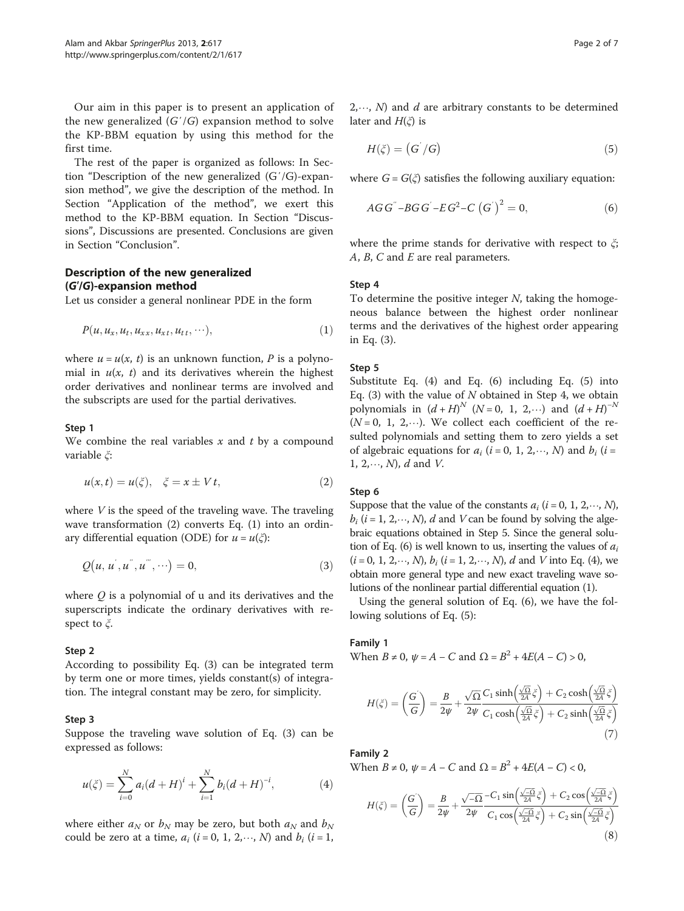<span id="page-1-0"></span>Our aim in this paper is to present an application of the new generalized  $(G'/G)$  expansion method to solve the KP-BBM equation by using this method for the first time.

The rest of the paper is organized as follows: In Section "Description of the new generalized (G′/G)-expansion method", we give the description of the method. In Section "[Application of the method](#page-2-0)", we exert this method to the KP-BBM equation. In Section "[Discus](#page-4-0)[sions](#page-4-0)", Discussions are presented. Conclusions are given in Section "[Conclusion](#page-5-0)".

# Description of the new generalized (G′/G)-expansion method

Let us consider a general nonlinear PDE in the form

$$
P(u, u_x, u_t, u_{xx}, u_{xt}, u_{tt}, \cdots), \qquad (1)
$$

where  $u = u(x, t)$  is an unknown function, P is a polynomial in  $u(x, t)$  and its derivatives wherein the highest order derivatives and nonlinear terms are involved and the subscripts are used for the partial derivatives.

## Step 1

We combine the real variables  $x$  and  $t$  by a compound variable ξ:

$$
u(x,t) = u(\xi), \quad \xi = x \pm Vt,
$$
\n(2)

where  $V$  is the speed of the traveling wave. The traveling wave transformation (2) converts Eq. (1) into an ordinary differential equation (ODE) for  $u = u(\xi)$ :

$$
Q(u, u^{'}, u^{''}, u^{'''}, \cdots) = 0,
$$
\n(3)

where  $Q$  is a polynomial of u and its derivatives and the superscripts indicate the ordinary derivatives with respect to  $\zeta$ .

#### Step 2

According to possibility Eq. (3) can be integrated term by term one or more times, yields constant(s) of integration. The integral constant may be zero, for simplicity.

## Step 3

Suppose the traveling wave solution of Eq. (3) can be expressed as follows:

$$
u(\xi) = \sum_{i=0}^{N} a_i (d+H)^i + \sum_{i=1}^{N} b_i (d+H)^{-i}, \tag{4}
$$

where either  $a_N$  or  $b_N$  may be zero, but both  $a_N$  and  $b_N$ could be zero at a time,  $a_i$  (i = 0, 1, 2, ..., N) and  $b_i$  (i = 1,

 $2, \dots, N$  and d are arbitrary constants to be determined later and  $H(\xi)$  is

$$
H(\xi) = (G'/G) \tag{5}
$$

where  $G = G(\xi)$  satisfies the following auxiliary equation:

$$
AGG^{\prime} - BGG^{\prime} - EG^2 - C(G^{\prime})^2 = 0, \qquad (6)
$$

where the prime stands for derivative with respect to  $\zeta$ ;  $A, B, C$  and  $E$  are real parameters.

#### Step 4

To determine the positive integer  $N$ , taking the homogeneous balance between the highest order nonlinear terms and the derivatives of the highest order appearing in Eq. (3).

# Step 5

Substitute Eq. (4) and Eq. (6) including Eq. (5) into Eq. (3) with the value of  $N$  obtained in Step 4, we obtain polynomials in  $(d+H)^N$  (N = 0, 1, 2, ...) and  $(d+H)^{-N}$  $(N = 0, 1, 2, \dots)$ . We collect each coefficient of the resulted polynomials and setting them to zero yields a set of algebraic equations for  $a_i$  (i = 0, 1, 2, ..., N) and  $b_i$  (i = 1,  $2, \dots, N$ , d and V.

## Step 6

Suppose that the value of the constants  $a_i$  ( $i = 0, 1, 2, \dots, N$ ),  $b_i$  (i = 1, 2, ..., N), d and V can be found by solving the algebraic equations obtained in Step 5. Since the general solution of Eq. (6) is well known to us, inserting the values of  $a_i$  $(i = 0, 1, 2, \dots, N)$ ,  $b_i$   $(i = 1, 2, \dots, N)$ , d and V into Eq. (4), we obtain more general type and new exact traveling wave solutions of the nonlinear partial differential equation (1).

Using the general solution of Eq. (6), we have the following solutions of Eq. (5):

#### Family 1

When  $B \neq 0$ ,  $\psi = A - C$  and  $\Omega = B^2 + 4E(A - C) > 0$ ,

$$
H(\xi) = \left(\frac{G}{G}\right) = \frac{B}{2\psi} + \frac{\sqrt{\Omega}}{2\psi} \frac{C_1 \sinh\left(\frac{\sqrt{\Omega}}{2A}\xi\right) + C_2 \cosh\left(\frac{\sqrt{\Omega}}{2A}\xi\right)}{C_1 \cosh\left(\frac{\sqrt{\Omega}}{2A}\xi\right) + C_2 \sinh\left(\frac{\sqrt{\Omega}}{2A}\xi\right)}
$$
\n(7)

Family 2

When *B* ≠ 0,  $\psi$  = *A* − *C* and Ω = *B*<sup>2</sup> + 4*E*(*A* − *C*) < 0,

$$
H(\xi) = \left(\frac{G}{G}\right) = \frac{B}{2\psi} + \frac{\sqrt{-\Omega}}{2\psi} \frac{-C_1 \sin\left(\frac{\sqrt{-\Omega}}{2A}\xi\right) + C_2 \cos\left(\frac{\sqrt{-\Omega}}{2A}\xi\right)}{C_1 \cos\left(\frac{\sqrt{-\Omega}}{2A}\xi\right) + C_2 \sin\left(\frac{\sqrt{-\Omega}}{2A}\xi\right)}
$$
\n(8)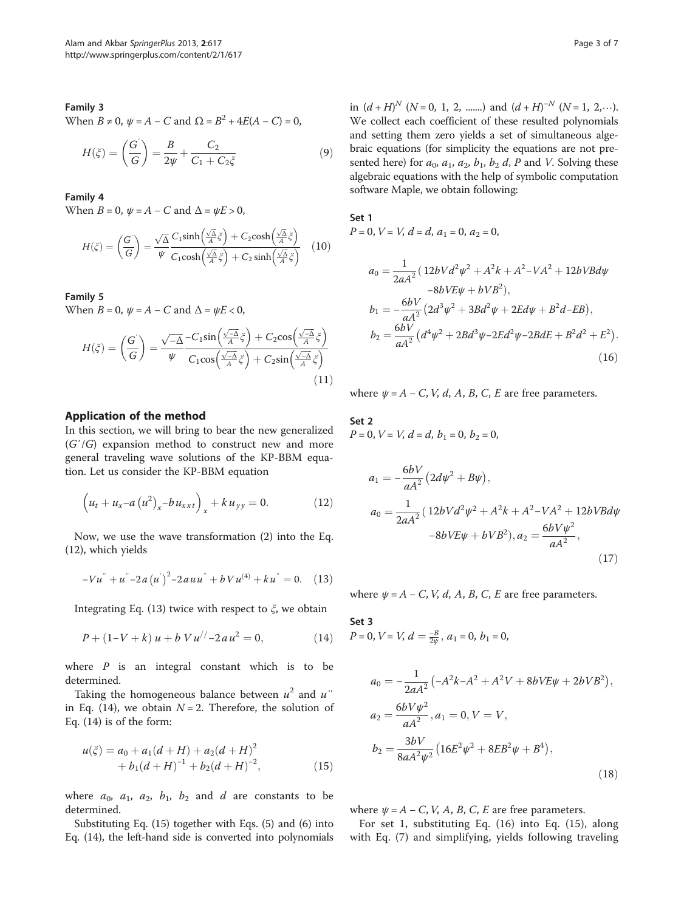# <span id="page-2-0"></span>Family 3

When  $B \neq 0$ ,  $\psi = A - C$  and  $\Omega = B^2 + 4E(A - C) = 0$ ,

$$
H(\xi) = \left(\frac{G}{G}\right) = \frac{B}{2\psi} + \frac{C_2}{C_1 + C_2\xi} \tag{9}
$$

#### Family 4

When  $B = 0$ ,  $\psi = A - C$  and  $\Delta = \psi E > 0$ ,

$$
H(\xi) = \left(\frac{G}{G}\right) = \frac{\sqrt{\Delta}}{\psi} \frac{C_1 \sinh\left(\frac{\sqrt{\Delta}}{A}\xi\right) + C_2 \cosh\left(\frac{\sqrt{\Delta}}{A}\xi\right)}{C_1 \cosh\left(\frac{\sqrt{\Delta}}{A}\xi\right) + C_2 \sinh\left(\frac{\sqrt{\Delta}}{A}\xi\right)} \tag{10}
$$

Family 5

When  $B = 0$ ,  $\psi = A - C$  and  $\Delta = \psi E < 0$ ,

$$
H(\xi) = \left(\frac{G^{'}}{G}\right) = \frac{\sqrt{-\Delta}}{\psi} \frac{-C_1 \sin\left(\frac{\sqrt{-\Delta}}{A}\xi\right) + C_2 \cos\left(\frac{\sqrt{-\Delta}}{A}\xi\right)}{C_1 \cos\left(\frac{\sqrt{-\Delta}}{A}\xi\right) + C_2 \sin\left(\frac{\sqrt{-\Delta}}{A}\xi\right)}
$$
(11)

## Application of the method

In this section, we will bring to bear the new generalized  $(G'/G)$  expansion method to construct new and more general traveling wave solutions of the KP-BBM equation. Let us consider the KP-BBM equation

$$
\left(u_{t} + u_{x} - a\left(u^{2}\right)_{x} - bu_{xxt}\right)_{x} + ku_{yy} = 0. \tag{12}
$$

Now, we use the wave transformation ([2\)](#page-1-0) into the Eq. (12), which yields

$$
-Vu^{''} + u^{''}-2a(u^{'})^{2}-2auu^{''} + bVu^{(4)} + ku^{''} = 0. \quad (13)
$$

Integrating Eq. (13) twice with respect to  $\xi$ , we obtain

$$
P + (1 - V + k) u + b V u^{/} - 2 a u^2 = 0,
$$
 (14)

where  $P$  is an integral constant which is to be determined.

Taking the homogeneous balance between  $u^2$  and  $u''$ in Eq. (14), we obtain  $N = 2$ . Therefore, the solution of Eq. (14) is of the form:

$$
u(\xi) = a_0 + a_1(d+H) + a_2(d+H)^2
$$
  
+  $b_1(d+H)^{-1} + b_2(d+H)^{-2}$ , (15)

where  $a_0$ ,  $a_1$ ,  $a_2$ ,  $b_1$ ,  $b_2$  and d are constants to be determined.

Substituting Eq. (15) together with Eqs. [\(5\)](#page-1-0) and [\(6](#page-1-0)) into Eq. (14), the left-hand side is converted into polynomials

in  $(d+H)^N$  (N = 0, 1, 2, .......) and  $(d+H)^{-N}$  (N = 1, 2, ...). We collect each coefficient of these resulted polynomials and setting them zero yields a set of simultaneous algebraic equations (for simplicity the equations are not presented here) for  $a_0$ ,  $a_1$ ,  $a_2$ ,  $b_1$ ,  $b_2$  d, P and V. Solving these algebraic equations with the help of symbolic computation software Maple, we obtain following:

Set 1

 $P = 0$ ,  $V = V$ ,  $d = d$ ,  $a_1 = 0$ ,  $a_2 = 0$ ,

$$
a_0 = \frac{1}{2aA^2} (12bVd^2\psi^2 + A^2k + A^2 - VA^2 + 12bVBd\psi
$$
  
\n
$$
-8bVE\psi + bVB^2),
$$
  
\n
$$
b_1 = -\frac{6bV}{aA^2} (2d^3\psi^2 + 3Bd^2\psi + 2Ed\psi + B^2d - EB),
$$
  
\n
$$
b_2 = \frac{6bV}{aA^2} (d^4\psi^2 + 2Bd^3\psi - 2Ed^2\psi - 2BdE + B^2d^2 + E^2).
$$
  
\n(16)

where  $\psi = A - C$ , V, d, A, B, C, E are free parameters.

# Set 2  $P = 0$ ,  $V = V$ ,  $d = d$ ,  $b_1 = 0$ ,  $b_2 = 0$ ,

$$
a_1 = -\frac{6bV}{aA^2} (2d\psi^2 + B\psi),
$$
  
\n
$$
a_0 = \frac{1}{2aA^2} (12bVd^2\psi^2 + A^2k + A^2 - VA^2 + 12bVBd\psi - 8bVE\psi + bVB^2),
$$
  
\n
$$
a_2 = \frac{6bV\psi^2}{aA^2},
$$
  
\n(17)

where  $\psi = A - C$ , V, d, A, B, C, E are free parameters.

Set 3  $P = 0, V = V, d = \frac{-B}{2\psi}, a_1 = 0, b_1 = 0,$ 

$$
a_0 = -\frac{1}{2aA^2} \left( -A^2k - A^2 + A^2V + 8bVE\psi + 2bVB^2 \right),
$$
  
\n
$$
a_2 = \frac{6bV\psi^2}{aA^2}, a_1 = 0, V = V,
$$
  
\n
$$
b_2 = \frac{3bV}{8aA^2\psi^2} \left( 16E^2\psi^2 + 8EB^2\psi + B^4 \right),
$$
  
\n(18)

where  $\psi = A - C$ , V, A, B, C, E are free parameters.

For set 1, substituting Eq. (16) into Eq. (15), along with Eq. ([7\)](#page-1-0) and simplifying, yields following traveling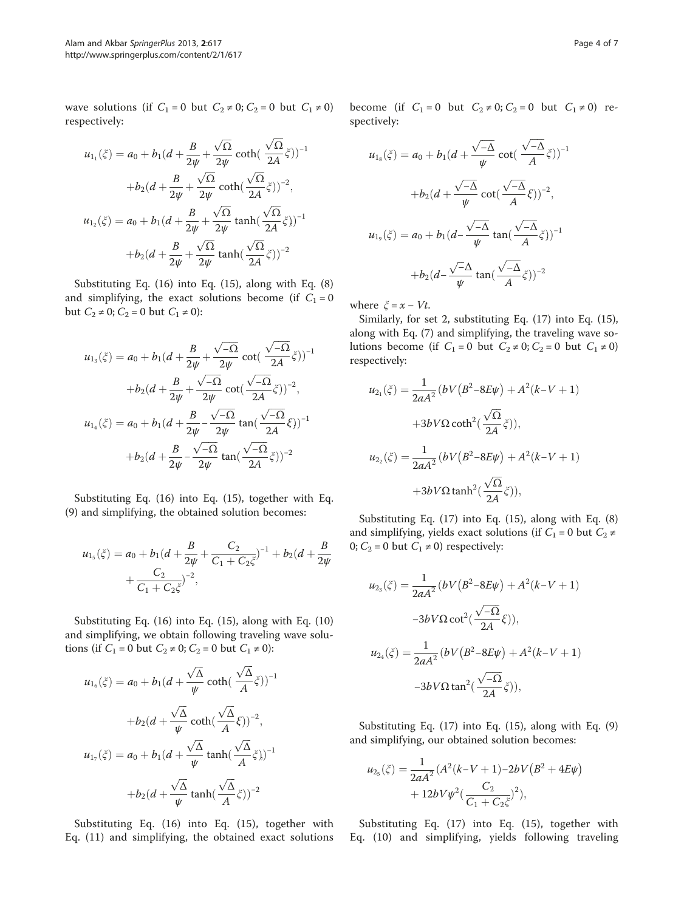wave solutions (if  $C_1 = 0$  but  $C_2 \neq 0$ ;  $C_2 = 0$  but  $C_1 \neq 0$ ) respectively:

$$
u_{1_1}(\xi) = a_0 + b_1(d + \frac{B}{2\psi} + \frac{\sqrt{\Omega}}{2\psi}\coth(\frac{\sqrt{\Omega}}{2A}\xi))^{-1}
$$

$$
+ b_2(d + \frac{B}{2\psi} + \frac{\sqrt{\Omega}}{2\psi}\coth(\frac{\sqrt{\Omega}}{2A}\xi))^{-2},
$$

$$
u_{1_2}(\xi) = a_0 + b_1(d + \frac{B}{2\psi} + \frac{\sqrt{\Omega}}{2\psi}\tanh(\frac{\sqrt{\Omega}}{2A}\xi))^{-1}
$$

$$
+ b_2(d + \frac{B}{2\psi} + \frac{\sqrt{\Omega}}{2\psi}\tanh(\frac{\sqrt{\Omega}}{2A}\xi))^{-2}
$$

Substituting Eq. ([16\)](#page-2-0) into Eq. [\(15](#page-2-0)), along with Eq. [\(8](#page-1-0)) and simplifying, the exact solutions become (if  $C_1 = 0$ but  $C_2$  ≠ 0;  $C_2$  = 0 but  $C_1$  ≠ 0):

$$
u_{1_3}(\xi) = a_0 + b_1(d + \frac{B}{2\psi} + \frac{\sqrt{-\Omega}}{2\psi}\cot(\frac{\sqrt{-\Omega}}{2A}\xi))^{-1}
$$
  
+
$$
b_2(d + \frac{B}{2\psi} + \frac{\sqrt{-\Omega}}{2\psi}\cot(\frac{\sqrt{-\Omega}}{2A}\xi))^{-2},
$$
  

$$
u_{1_4}(\xi) = a_0 + b_1(d + \frac{B}{2\psi} - \frac{\sqrt{-\Omega}}{2\psi}\tan(\frac{\sqrt{-\Omega}}{2A}\xi))^{-1}
$$
  
+
$$
b_2(d + \frac{B}{2\psi} - \frac{\sqrt{-\Omega}}{2\psi}\tan(\frac{\sqrt{-\Omega}}{2A}\xi))^{-2}
$$

Substituting Eq. ([16\)](#page-2-0) into Eq. [\(15](#page-2-0)), together with Eq. ([9\)](#page-2-0) and simplifying, the obtained solution becomes:

$$
u_{1_5}(\xi) = a_0 + b_1(d + \frac{B}{2\psi} + \frac{C_2}{C_1 + C_2\xi})^{-1} + b_2(d + \frac{B}{2\psi} + \frac{C_2}{C_1 + C_2\xi})^{-2},
$$

Substituting Eq. ([16\)](#page-2-0) into Eq. ([15](#page-2-0)), along with Eq. ([10](#page-2-0)) and simplifying, we obtain following traveling wave solutions (if  $C_1 = 0$  but  $C_2 \neq 0$ ;  $C_2 = 0$  but  $C_1 \neq 0$ ):

$$
u_{16}(\xi) = a_0 + b_1(d + \frac{\sqrt{\Delta}}{\psi} \coth(\frac{\sqrt{\Delta}}{A} \xi))^{-1}
$$

$$
+ b_2(d + \frac{\sqrt{\Delta}}{\psi} \coth(\frac{\sqrt{\Delta}}{A} \xi))^{-2},
$$

$$
u_{17}(\xi) = a_0 + b_1(d + \frac{\sqrt{\Delta}}{\psi} \tanh(\frac{\sqrt{\Delta}}{A} \xi))^{-1}
$$

$$
+ b_2(d + \frac{\sqrt{\Delta}}{\psi} \tanh(\frac{\sqrt{\Delta}}{A} \xi))^{-2}
$$

Substituting Eq. [\(16](#page-2-0)) into Eq. [\(15\)](#page-2-0), together with Eq. ([11\)](#page-2-0) and simplifying, the obtained exact solutions become (if  $C_1 = 0$  but  $C_2 \neq 0$ ;  $C_2 = 0$  but  $C_1 \neq 0$ ) respectively:

$$
u_{1s}(\xi) = a_0 + b_1(d + \frac{\sqrt{-\Delta}}{\psi}\cot(\frac{\sqrt{-\Delta}}{A}\xi))^{-1}
$$

$$
+b_2(d + \frac{\sqrt{-\Delta}}{\psi}\cot(\frac{\sqrt{-\Delta}}{A}\xi))^{-2},
$$

$$
u_{1s}(\xi) = a_0 + b_1(d - \frac{\sqrt{-\Delta}}{\psi}\tan(\frac{\sqrt{-\Delta}}{A}\xi))^{-1}
$$

$$
+b_2(d - \frac{\sqrt{-\Delta}}{\psi}\tan(\frac{\sqrt{-\Delta}}{A}\xi))^{-2}
$$

where  $\xi = x - Vt$ .

Similarly, for set 2, substituting Eq. [\(17\)](#page-2-0) into Eq. [\(15](#page-2-0)), along with Eq. ([7\)](#page-1-0) and simplifying, the traveling wave solutions become (if  $C_1 = 0$  but  $C_2 \neq 0$ ;  $C_2 = 0$  but  $C_1 \neq 0$ ) respectively:

$$
u_{2_1}(\xi) = \frac{1}{2aA^2} (bV(B^2 - 8E\psi) + A^2(k - V + 1)
$$

$$
+ 3bV\Omega \coth^2(\frac{\sqrt{\Omega}}{2A}\xi)),
$$

$$
u_{2_2}(\xi) = \frac{1}{2aA^2} (bV(B^2 - 8E\psi) + A^2(k - V + 1)
$$

$$
+ 3bV\Omega \tanh^2(\frac{\sqrt{\Omega}}{2A}\xi)),
$$

Substituting Eq. [\(17\)](#page-2-0) into Eq. [\(15](#page-2-0)), along with Eq. [\(8](#page-1-0)) and simplifying, yields exact solutions (if  $C_1 = 0$  but  $C_2 \neq$ 0;  $C_2 = 0$  but  $C_1 \neq 0$ ) respectively:

$$
u_{2_3}(\xi) = \frac{1}{2aA^2} (bV(B^2 - 8E\psi) + A^2(k - V + 1)
$$
  

$$
-3bV\Omega \cot^2(\frac{\sqrt{-\Omega}}{2A}\xi)),
$$
  

$$
u_{2_4}(\xi) = \frac{1}{2aA^2} (bV(B^2 - 8E\psi) + A^2(k - V + 1)
$$
  

$$
-3bV\Omega \tan^2(\frac{\sqrt{-\Omega}}{2A}\xi)),
$$

Substituting Eq. [\(17\)](#page-2-0) into Eq. [\(15](#page-2-0)), along with Eq. [\(9](#page-2-0)) and simplifying, our obtained solution becomes:

$$
u_{2_5}(\xi) = \frac{1}{2aA^2} (A^2(k-V+1) - 2bV(B^2 + 4E\psi) + 12bV\psi^2(\frac{C_2}{C_1 + C_2\xi})^2),
$$

Substituting Eq. [\(17](#page-2-0)) into Eq. ([15\)](#page-2-0), together with Eq. [\(10](#page-2-0)) and simplifying, yields following traveling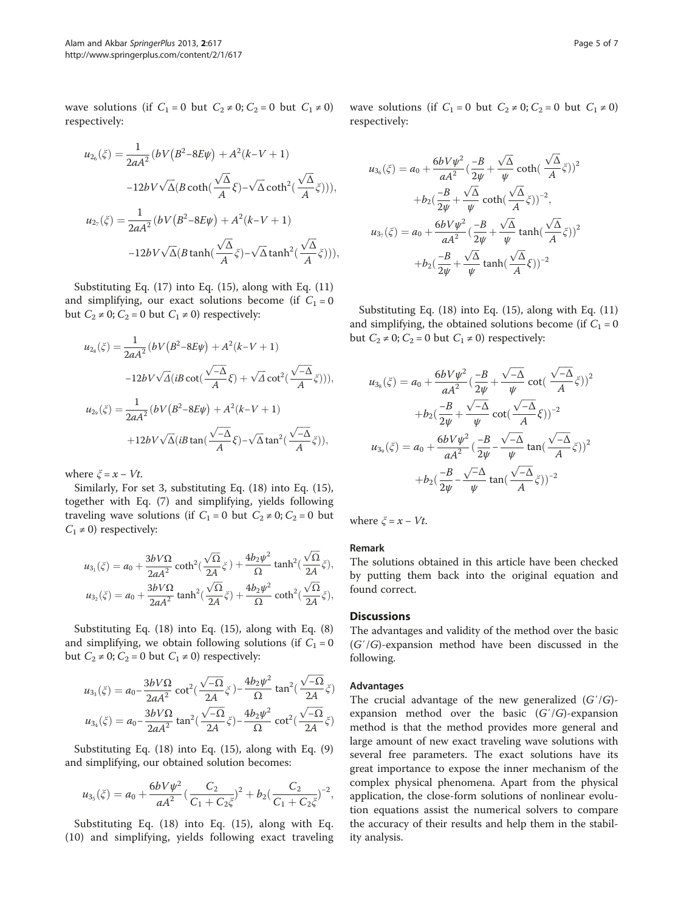<span id="page-4-0"></span>wave solutions (if  $C_1 = 0$  but  $C_2 \neq 0$ ;  $C_2 = 0$  but  $C_1 \neq 0$ ) respectively:

$$
u_{26}(\xi) = \frac{1}{2aA^2} (bV(B^2 - 8E\psi) + A^2(k - V + 1)
$$

$$
-12bV\sqrt{\Delta}(B\coth(\frac{\sqrt{\Delta}}{A}\xi) - \sqrt{\Delta}\coth^2(\frac{\sqrt{\Delta}}{A}\xi))),
$$

$$
u_{27}(\xi) = \frac{1}{2aA^2} (bV(B^2 - 8E\psi) + A^2(k - V + 1)
$$

$$
-12bV\sqrt{\Delta}(B\tanh(\frac{\sqrt{\Delta}}{A}\xi) - \sqrt{\Delta}\tanh^2(\frac{\sqrt{\Delta}}{A}\xi))),
$$

Substituting Eq. ([17\)](#page-2-0) into Eq. ([15](#page-2-0)), along with Eq. ([11](#page-2-0)) and simplifying, our exact solutions become (if  $C_1 = 0$ but  $C_2 \neq 0$ ;  $C_2 = 0$  but  $C_1 \neq 0$ ) respectively:

$$
u_{2s}(\xi) = \frac{1}{2aA^2} (bV(B^2 - 8E\psi) + A^2(k - V + 1)
$$
  

$$
-12bV\sqrt{\Delta}(iB\cot(\frac{\sqrt{-\Delta}}{A}\xi) + \sqrt{\Delta}\cot^2(\frac{\sqrt{-\Delta}}{A}\xi))),
$$
  

$$
u_{2s}(\xi) = \frac{1}{2aA^2} (bV(B^2 - 8E\psi) + A^2(k - V + 1)
$$
  

$$
+12bV\sqrt{\Delta}(iB\tan(\frac{\sqrt{-\Delta}}{A}\xi) - \sqrt{\Delta}\tan^2(\frac{\sqrt{-\Delta}}{A}\xi)),
$$

where  $\xi = x - Vt$ .

Similarly, For set 3, substituting Eq. ([18\)](#page-2-0) into Eq. [\(15](#page-2-0)), together with Eq. ([7\)](#page-1-0) and simplifying, yields following traveling wave solutions (if  $C_1 = 0$  but  $C_2 \neq 0$ ;  $C_2 = 0$  but  $C_1 \neq 0$ ) respectively:

$$
\begin{aligned} u_{3_1}(\xi) &= a_0 + \frac{3bV\Omega}{2aA^2}\coth^2(\frac{\sqrt{\Omega}}{2A}\xi) + \frac{4b_2\psi^2}{\Omega}\tanh^2(\frac{\sqrt{\Omega}}{2A}\xi),\\ u_{3_2}(\xi) &= a_0 + \frac{3bV\Omega}{2aA^2}\tanh^2(\frac{\sqrt{\Omega}}{2A}\xi) + \frac{4b_2\psi^2}{\Omega}\coth^2(\frac{\sqrt{\Omega}}{2A}\xi), \end{aligned}
$$

Substituting Eq. ([18\)](#page-2-0) into Eq. [\(15](#page-2-0)), along with Eq. [\(8](#page-1-0)) and simplifying, we obtain following solutions (if  $C_1 = 0$ but  $C_2 \neq 0$ ;  $C_2 = 0$  but  $C_1 \neq 0$ ) respectively:

$$
u_{3_3}(\xi) = a_0 - \frac{3b\sqrt{\Omega}}{2aA^2} \cot^2(\frac{\sqrt{-\Omega}}{2A}\xi) - \frac{4b_2\psi^2}{\Omega} \tan^2(\frac{\sqrt{-\Omega}}{2A}\xi)
$$
  

$$
u_{3_4}(\xi) = a_0 - \frac{3b\sqrt{\Omega}}{2aA^2} \tan^2(\frac{\sqrt{-\Omega}}{2A}\xi) - \frac{4b_2\psi^2}{\Omega} \cot^2(\frac{\sqrt{-\Omega}}{2A}\xi)
$$

Substituting Eq. ([18\)](#page-2-0) into Eq. [\(15](#page-2-0)), along with Eq. [\(9](#page-2-0)) and simplifying, our obtained solution becomes:

$$
u_{3_5}(\xi) = a_0 + \frac{6bV\psi^2}{aA^2} \left(\frac{C_2}{C_1 + C_2\xi}\right)^2 + b_2\left(\frac{C_2}{C_1 + C_2\xi}\right)^{-2},
$$

Substituting Eq. [\(18](#page-2-0)) into Eq. ([15\)](#page-2-0), along with Eq. ([10\)](#page-2-0) and simplifying, yields following exact traveling wave solutions (if  $C_1 = 0$  but  $C_2 \neq 0$ ;  $C_2 = 0$  but  $C_1 \neq 0$ ) respectively:

$$
u_{36}(\xi) = a_0 + \frac{6bV\psi^2}{aA^2} \left(\frac{-B}{2\psi} + \frac{\sqrt{\Delta}}{\psi}\coth\left(\frac{\sqrt{\Delta}}{A}\xi\right)\right)^2
$$

$$
+ b_2\left(\frac{-B}{2\psi} + \frac{\sqrt{\Delta}}{\psi}\coth\left(\frac{\sqrt{\Delta}}{A}\xi\right)\right)^{-2},
$$

$$
u_{37}(\xi) = a_0 + \frac{6bV\psi^2}{aA^2} \left(\frac{-B}{2\psi} + \frac{\sqrt{\Delta}}{\psi}\tanh\left(\frac{\sqrt{\Delta}}{A}\xi\right)\right)^2
$$

$$
+ b_2\left(\frac{-B}{2\psi} + \frac{\sqrt{\Delta}}{\psi}\tanh\left(\frac{\sqrt{\Delta}}{A}\xi\right)\right)^{-2}
$$

Substituting Eq. ([18\)](#page-2-0) into Eq. ([15](#page-2-0)), along with Eq. ([11](#page-2-0)) and simplifying, the obtained solutions become (if  $C_1 = 0$ but  $C_2 \neq 0$ ;  $C_2 = 0$  but  $C_1 \neq 0$ ) respectively:

$$
u_{3_8}(\xi) = a_0 + \frac{6bV\psi^2}{aA^2} \left(\frac{-B}{2\psi} + \frac{\sqrt{-\Delta}}{\psi}\cot\left(\frac{\sqrt{-\Delta}}{A}\xi\right)\right)^2
$$

$$
+ b_2\left(\frac{-B}{2\psi} + \frac{\sqrt{-\Delta}}{\psi}\cot\left(\frac{\sqrt{-\Delta}}{A}\xi\right)\right)^{-2}
$$

$$
u_{3_9}(\xi) = a_0 + \frac{6bV\psi^2}{aA^2} \left(\frac{-B}{2\psi} - \frac{\sqrt{-\Delta}}{\psi}\tan\left(\frac{\sqrt{-\Delta}}{A}\xi\right)\right)^2
$$

$$
+ b_2\left(\frac{-B}{2\psi} - \frac{\sqrt{-\Delta}}{\psi}\tan\left(\frac{\sqrt{-\Delta}}{A}\xi\right)\right)^{-2}
$$

where  $\xi = x - Vt$ .

# Remark

The solutions obtained in this article have been checked by putting them back into the original equation and found correct.

#### **Discussions**

The advantages and validity of the method over the basic (G′/G)-expansion method have been discussed in the following.

### Advantages

The crucial advantage of the new generalized  $(G'/G)$ expansion method over the basic  $(G'/G)$ -expansion method is that the method provides more general and large amount of new exact traveling wave solutions with several free parameters. The exact solutions have its great importance to expose the inner mechanism of the complex physical phenomena. Apart from the physical application, the close-form solutions of nonlinear evolution equations assist the numerical solvers to compare the accuracy of their results and help them in the stability analysis.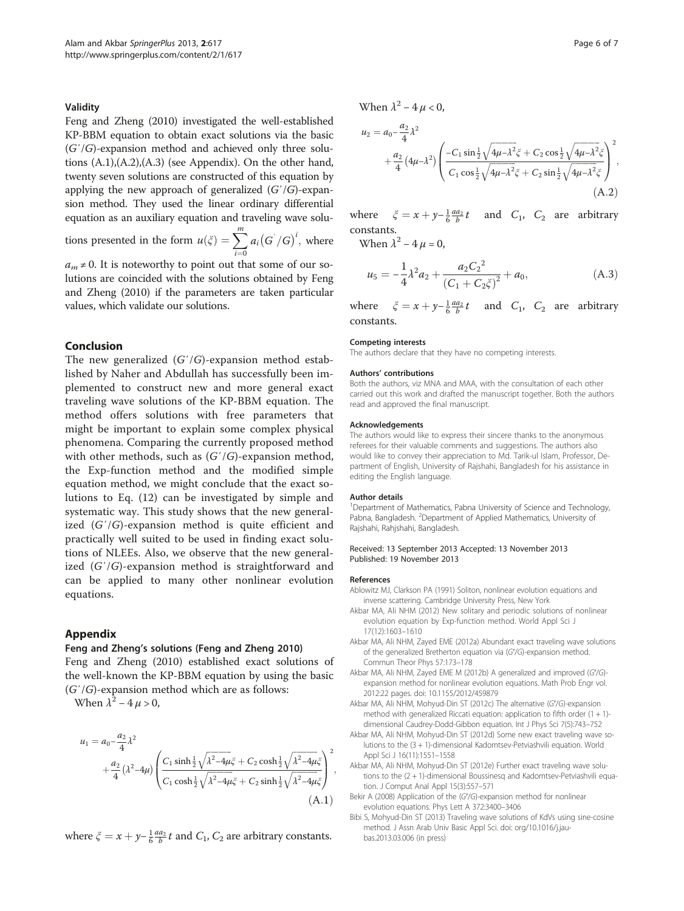#### <span id="page-5-0"></span>Validity

Feng and Zheng [\(2010\)](#page-6-0) investigated the well-established KP-BBM equation to obtain exact solutions via the basic (G′/G)-expansion method and achieved only three solutions (A.1),(A.2),(A.3) (see Appendix). On the other hand, twenty seven solutions are constructed of this equation by applying the new approach of generalized  $(G'/G)$ -expansion method. They used the linear ordinary differential equation as an auxiliary equation and traveling wave solu-

tions presented in the form  $u(\xi) = \sum^{m}$  $\overline{i=0}$  $a_i(G^{'}/G)^i$ , where

 $a_m \neq 0$ . It is noteworthy to point out that some of our solutions are coincided with the solutions obtained by Feng and Zheng [\(2010\)](#page-6-0) if the parameters are taken particular values, which validate our solutions.

## Conclusion

The new generalized  $(G'/G)$ -expansion method established by Naher and Abdullah has successfully been implemented to construct new and more general exact traveling wave solutions of the KP-BBM equation. The method offers solutions with free parameters that might be important to explain some complex physical phenomena. Comparing the currently proposed method with other methods, such as  $(G'/G)$ -expansion method, the Exp-function method and the modified simple equation method, we might conclude that the exact solutions to Eq. ([12](#page-2-0)) can be investigated by simple and systematic way. This study shows that the new generalized  $(G'/G)$ -expansion method is quite efficient and practically well suited to be used in finding exact solutions of NLEEs. Also, we observe that the new generalized (G′/G)-expansion method is straightforward and can be applied to many other nonlinear evolution equations.

# Appendix

#### Feng and Zheng's solutions (Feng and Zheng [2010](#page-6-0))

Feng and Zheng [\(2010\)](#page-6-0) established exact solutions of the well-known the KP-BBM equation by using the basic  $(G'/G)$ -expansion method which are as follows:

When  $\lambda^2 - 4 \mu > 0$ ,

$$
u_1 = a_0 - \frac{a_2}{4} \lambda^2
$$
  
 
$$
+ \frac{a_2}{4} (\lambda^2 - 4\mu) \left( \frac{C_1 \sinh \frac{1}{2} \sqrt{\lambda^2 - 4\mu \xi} + C_2 \cosh \frac{1}{2} \sqrt{\lambda^2 - 4\mu \xi}}{C_1 \cosh \frac{1}{2} \sqrt{\lambda^2 - 4\mu \xi} + C_2 \sinh \frac{1}{2} \sqrt{\lambda^2 - 4\mu \xi}} \right)^2,
$$
  
(A.1)

where  $\zeta = x + y - \frac{1}{6} \frac{a a_2}{b} t$  and  $C_1$ ,  $C_2$  are arbitrary constants.

When  $\lambda^2 - 4 \mu < 0$ ,

$$
u_2 = a_0 - \frac{a_2}{4} \lambda^2
$$
  
 
$$
+ \frac{a_2}{4} (4\mu - \lambda^2) \left( \frac{-C_1 \sin \frac{1}{2} \sqrt{4\mu - \lambda^2} \xi + C_2 \cos \frac{1}{2} \sqrt{4\mu - \lambda^2} \xi}{C_1 \cos \frac{1}{2} \sqrt{4\mu - \lambda^2} \xi + C_2 \sin \frac{1}{2} \sqrt{4\mu - \lambda^2} \xi} \right)^2,
$$
  
(A.2)

where  $\xi = x + y - \frac{1}{6} \frac{a a_2}{b} t$  and  $C_1$ ,  $C_2$  are arbitrary constants.

When  $\lambda^2 - 4 \mu = 0$ .

$$
u_5 = -\frac{1}{4}\lambda^2 a_2 + \frac{a_2 C_2^2}{(C_1 + C_2 \xi)^2} + a_0,
$$
\n(A.3)

where  $\xi = x + y - \frac{1}{6} \frac{a a_2}{b} t$  and  $C_1$ ,  $C_2$  are arbitrary constants.

#### Competing interests

The authors declare that they have no competing interests.

#### Authors' contributions

Both the authors, viz MNA and MAA, with the consultation of each other carried out this work and drafted the manuscript together. Both the authors read and approved the final manuscript.

#### Acknowledgements

The authors would like to express their sincere thanks to the anonymous referees for their valuable comments and suggestions. The authors also would like to convey their appreciation to Md. Tarik-ul Islam, Professor, Department of English, University of Rajshahi, Bangladesh for his assistance in editing the English language.

#### Author details

<sup>1</sup>Department of Mathematics, Pabna University of Science and Technology, Pabna, Bangladesh. <sup>2</sup>Department of Applied Mathematics, University of Rajshahi, Rahjshahi, Bangladesh.

#### Received: 13 September 2013 Accepted: 13 November 2013 Published: 19 November 2013

#### References

- Ablowitz MJ, Clarkson PA (1991) Soliton, nonlinear evolution equations and inverse scattering. Cambridge University Press, New York
- Akbar MA, Ali NHM (2012) New solitary and periodic solutions of nonlinear evolution equation by Exp-function method. World Appl Sci J 17(12):1603–1610
- Akbar MA, Ali NHM, Zayed EME (2012a) Abundant exact traveling wave solutions of the generalized Bretherton equation via (G′/G)-expansion method. Commun Theor Phys 57:173–178
- Akbar MA, Ali NHM, Zayed EME M (2012b) A generalized and improved (G′/G) expansion method for nonlinear evolution equations. Math Prob Engr vol. 2012:22 pages. doi: 10.1155/2012/459879
- Akbar MA, Ali NHM, Mohyud-Din ST (2012c) The alternative (G′/G)-expansion method with generalized Riccati equation: application to fifth order (1 + 1) dimensional Caudrey-Dodd-Gibbon equation. Int J Phys Sci 7(5):743–752
- Akbar MA, Ali NHM, Mohyud-Din ST (2012d) Some new exact traveling wave solutions to the (3 + 1)-dimensional Kadomtsev-Petviashvili equation. World Appl Sci J 16(11):1551–1558
- Akbar MA, Ali NHM, Mohyud-Din ST (2012e) Further exact traveling wave solutions to the (2 + 1)-dimensional Boussinesq and Kadomtsev-Petviashvili equation. J Comput Anal Appl 15(3):557–571
- Bekir A (2008) Application of the (G′/G)-expansion method for nonlinear evolution equations. Phys Lett A 372:3400–3406
- Bibi S, Mohyud-Din ST (2013) Traveling wave solutions of KdVs using sine-cosine method. J Assn Arab Univ Basic Appl Sci. doi: org/10.1016/j.jaubas.2013.03.006 (in press)